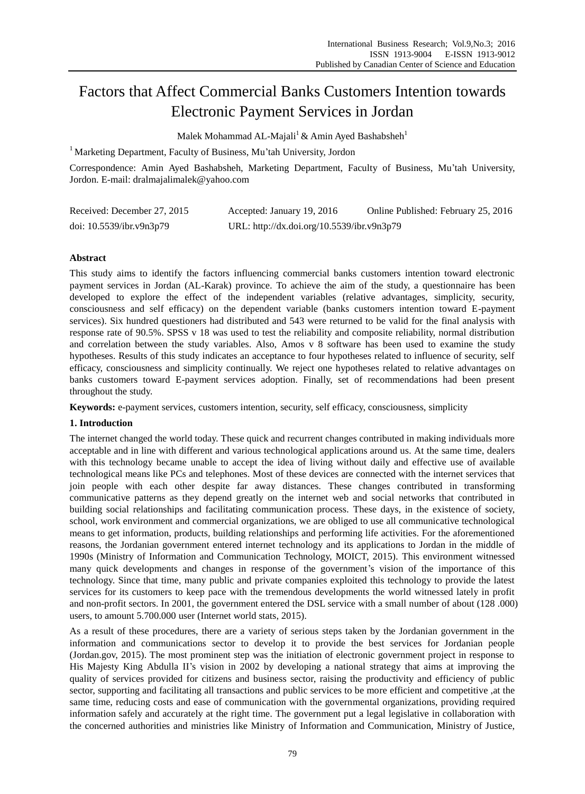# Factors that Affect Commercial Banks Customers Intention towards Electronic Payment Services in Jordan

Malek Mohammad AL-Majali<sup>1</sup> & Amin Ayed Bashabsheh<sup>1</sup>

<sup>1</sup> Marketing Department, Faculty of Business, Mu'tah University, Jordon

Correspondence: Amin Ayed Bashabsheh, Marketing Department, Faculty of Business, Mu'tah University, Jordon. E-mail: dralmajalimalek@yahoo.com

| Received: December 27, 2015 | Accepted: January 19, 2016                 | Online Published: February 25, 2016 |
|-----------------------------|--------------------------------------------|-------------------------------------|
| doi: $10.5539$ /ibr.v9n3p79 | URL: http://dx.doi.org/10.5539/ibr.v9n3p79 |                                     |

# **Abstract**

This study aims to identify the factors influencing commercial banks customers intention toward electronic payment services in Jordan (AL-Karak) province. To achieve the aim of the study, a questionnaire has been developed to explore the effect of the independent variables (relative advantages, simplicity, security, consciousness and self efficacy) on the dependent variable (banks customers intention toward E-payment services). Six hundred questioners had distributed and 543 were returned to be valid for the final analysis with response rate of 90.5%. SPSS v 18 was used to test the reliability and composite reliability, normal distribution and correlation between the study variables. Also, Amos v 8 software has been used to examine the study hypotheses. Results of this study indicates an acceptance to four hypotheses related to influence of security, self efficacy, consciousness and simplicity continually. We reject one hypotheses related to relative advantages on banks customers toward E-payment services adoption. Finally, set of recommendations had been present throughout the study.

**Keywords:** e-payment services, customers intention, security, self efficacy, consciousness, simplicity

# **1. Introduction**

The internet changed the world today. These quick and recurrent changes contributed in making individuals more acceptable and in line with different and various technological applications around us. At the same time, dealers with this technology became unable to accept the idea of living without daily and effective use of available technological means like PCs and telephones. Most of these devices are connected with the internet services that join people with each other despite far away distances. These changes contributed in transforming communicative patterns as they depend greatly on the internet web and social networks that contributed in building social relationships and facilitating communication process. These days, in the existence of society, school, work environment and commercial organizations, we are obliged to use all communicative technological means to get information, products, building relationships and performing life activities. For the aforementioned reasons, the Jordanian government entered internet technology and its applications to Jordan in the middle of 1990s (Ministry of Information and Communication Technology, MOICT, 2015). This environment witnessed many quick developments and changes in response of the government's vision of the importance of this technology. Since that time, many public and private companies exploited this technology to provide the latest services for its customers to keep pace with the tremendous developments the world witnessed lately in profit and non-profit sectors. In 2001, the government entered the DSL service with a small number of about (128 .000) users, to amount 5.700.000 user (Internet world stats, 2015).

As a result of these procedures, there are a variety of serious steps taken by the Jordanian government in the information and communications sector to develop it to provide the best services for Jordanian people (Jordan.gov, 2015). The most prominent step was the initiation of electronic government project in response to His Majesty King Abdulla II's vision in 2002 by developing a national strategy that aims at improving the quality of services provided for citizens and business sector, raising the productivity and efficiency of public sector, supporting and facilitating all transactions and public services to be more efficient and competitive ,at the same time, reducing costs and ease of communication with the governmental organizations, providing required information safely and accurately at the right time. The government put a legal legislative in collaboration with the concerned authorities and ministries like Ministry of Information and Communication, Ministry of Justice,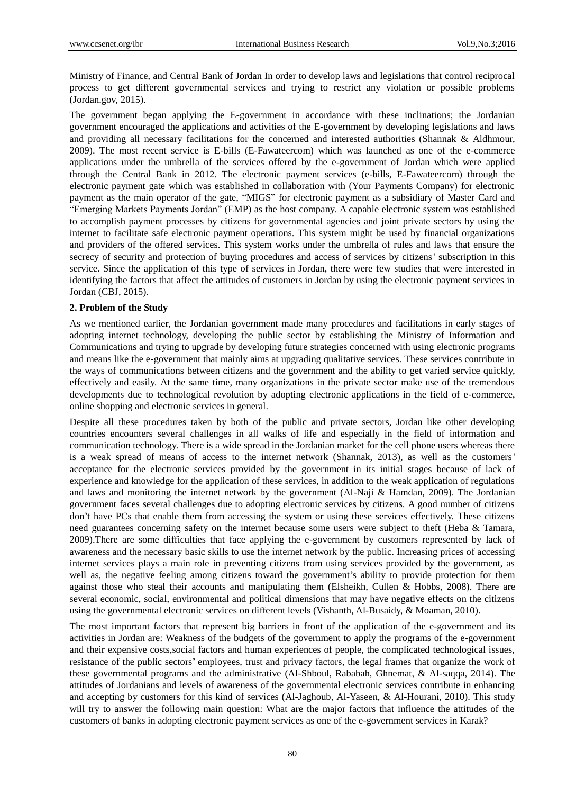Ministry of Finance, and Central Bank of Jordan In order to develop laws and legislations that control reciprocal process to get different governmental services and trying to restrict any violation or possible problems (Jordan.gov, 2015).

The government began applying the E-government in accordance with these inclinations; the Jordanian government encouraged the applications and activities of the E-government by developing legislations and laws and providing all necessary facilitations for the concerned and interested authorities (Shannak & Aldhmour, 2009). The most recent service is E-bills (E-Fawateercom) which was launched as one of the e-commerce applications under the umbrella of the services offered by the e-government of Jordan which were applied through the Central Bank in 2012. The electronic payment services (e-bills, E-Fawateercom) through the electronic payment gate which was established in collaboration with (Your Payments Company) for electronic payment as the main operator of the gate, "MIGS" for electronic payment as a subsidiary of Master Card and "Emerging Markets Payments Jordan" (EMP) as the host company. A capable electronic system was established to accomplish payment processes by citizens for governmental agencies and joint private sectors by using the internet to facilitate safe electronic payment operations. This system might be used by financial organizations and providers of the offered services. This system works under the umbrella of rules and laws that ensure the secrecy of security and protection of buying procedures and access of services by citizens' subscription in this service. Since the application of this type of services in Jordan, there were few studies that were interested in identifying the factors that affect the attitudes of customers in Jordan by using the electronic payment services in Jordan (CBJ, 2015).

# **2. Problem of the Study**

As we mentioned earlier, the Jordanian government made many procedures and facilitations in early stages of adopting internet technology, developing the public sector by establishing the Ministry of Information and Communications and trying to upgrade by developing future strategies concerned with using electronic programs and means like the e-government that mainly aims at upgrading qualitative services. These services contribute in the ways of communications between citizens and the government and the ability to get varied service quickly, effectively and easily. At the same time, many organizations in the private sector make use of the tremendous developments due to technological revolution by adopting electronic applications in the field of e-commerce, online shopping and electronic services in general.

Despite all these procedures taken by both of the public and private sectors, Jordan like other developing countries encounters several challenges in all walks of life and especially in the field of information and communication technology. There is a wide spread in the Jordanian market for the cell phone users whereas there is a weak spread of means of access to the internet network (Shannak, 2013), as well as the customers' acceptance for the electronic services provided by the government in its initial stages because of lack of experience and knowledge for the application of these services, in addition to the weak application of regulations and laws and monitoring the internet network by the government (Al-Naji & Hamdan, 2009). The Jordanian government faces several challenges due to adopting electronic services by citizens. A good number of citizens don't have PCs that enable them from accessing the system or using these services effectively. These citizens need guarantees concerning safety on the internet because some users were subject to theft (Heba & Tamara, 2009).There are some difficulties that face applying the e-government by customers represented by lack of awareness and the necessary basic skills to use the internet network by the public. Increasing prices of accessing internet services plays a main role in preventing citizens from using services provided by the government, as well as, the negative feeling among citizens toward the government's ability to provide protection for them against those who steal their accounts and manipulating them (Elsheikh, Cullen & Hobbs, 2008). There are several economic, social, environmental and political dimensions that may have negative effects on the citizens using the governmental electronic services on different levels (Vishanth, Al-Busaidy, & Moaman, 2010).

The most important factors that represent big barriers in front of the application of the e-government and its activities in Jordan are: Weakness of the budgets of the government to apply the programs of the e-government and their expensive costs,social factors and human experiences of people, the complicated technological issues, resistance of the public sectors' employees, trust and privacy factors, the legal frames that organize the work of these governmental programs and the administrative (Al-Shboul, Rababah, Ghnemat, & Al-saqqa, 2014). The attitudes of Jordanians and levels of awareness of the governmental electronic services contribute in enhancing and accepting by customers for this kind of services (Al-Jaghoub, Al-Yaseen, & Al-Hourani, 2010). This study will try to answer the following main question: What are the major factors that influence the attitudes of the customers of banks in adopting electronic payment services as one of the e-government services in Karak?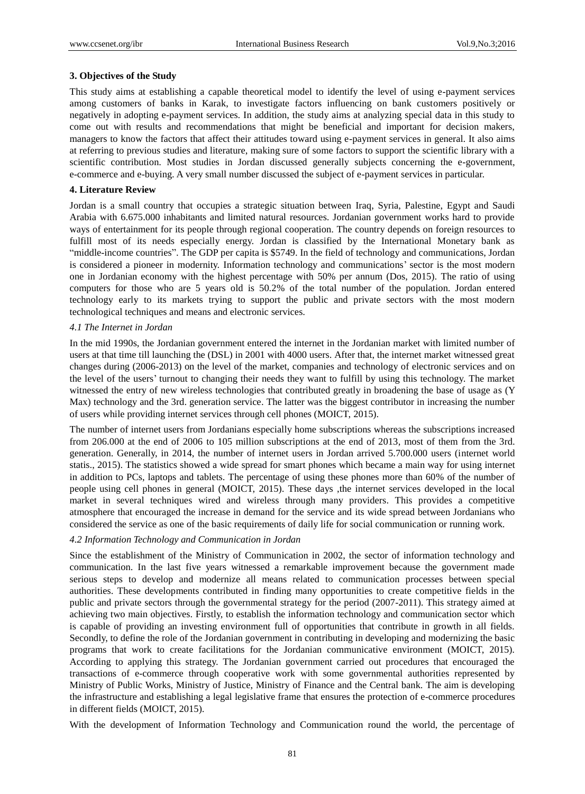## **3. Objectives of the Study**

This study aims at establishing a capable theoretical model to identify the level of using e-payment services among customers of banks in Karak, to investigate factors influencing on bank customers positively or negatively in adopting e-payment services. In addition, the study aims at analyzing special data in this study to come out with results and recommendations that might be beneficial and important for decision makers, managers to know the factors that affect their attitudes toward using e-payment services in general. It also aims at referring to previous studies and literature, making sure of some factors to support the scientific library with a scientific contribution. Most studies in Jordan discussed generally subjects concerning the e-government, e-commerce and e-buying. A very small number discussed the subject of e-payment services in particular.

#### **4. Literature Review**

Jordan is a small country that occupies a strategic situation between Iraq, Syria, Palestine, Egypt and Saudi Arabia with 6.675.000 inhabitants and limited natural resources. Jordanian government works hard to provide ways of entertainment for its people through regional cooperation. The country depends on foreign resources to fulfill most of its needs especially energy. Jordan is classified by the International Monetary bank as "middle-income countries". The GDP per capita is \$5749. In the field of technology and communications, Jordan is considered a pioneer in modernity. Information technology and communications' sector is the most modern one in Jordanian economy with the highest percentage with 50% per annum (Dos, 2015). The ratio of using computers for those who are 5 years old is 50.2% of the total number of the population. Jordan entered technology early to its markets trying to support the public and private sectors with the most modern technological techniques and means and electronic services.

#### *4.1 The Internet in Jordan*

In the mid 1990s, the Jordanian government entered the internet in the Jordanian market with limited number of users at that time till launching the (DSL) in 2001 with 4000 users. After that, the internet market witnessed great changes during (2006-2013) on the level of the market, companies and technology of electronic services and on the level of the users' turnout to changing their needs they want to fulfill by using this technology. The market witnessed the entry of new wireless technologies that contributed greatly in broadening the base of usage as (Y Max) technology and the 3rd. generation service. The latter was the biggest contributor in increasing the number of users while providing internet services through cell phones (MOICT, 2015).

The number of internet users from Jordanians especially home subscriptions whereas the subscriptions increased from 206.000 at the end of 2006 to 105 million subscriptions at the end of 2013, most of them from the 3rd. generation. Generally, in 2014, the number of internet users in Jordan arrived 5.700.000 users (internet world statis., 2015). The statistics showed a wide spread for smart phones which became a main way for using internet in addition to PCs, laptops and tablets. The percentage of using these phones more than 60% of the number of people using cell phones in general (MOICT, 2015). These days ,the internet services developed in the local market in several techniques wired and wireless through many providers. This provides a competitive atmosphere that encouraged the increase in demand for the service and its wide spread between Jordanians who considered the service as one of the basic requirements of daily life for social communication or running work.

## *4.2 Information Technology and Communication in Jordan*

Since the establishment of the Ministry of Communication in 2002, the sector of information technology and communication. In the last five years witnessed a remarkable improvement because the government made serious steps to develop and modernize all means related to communication processes between special authorities. These developments contributed in finding many opportunities to create competitive fields in the public and private sectors through the governmental strategy for the period (2007-2011). This strategy aimed at achieving two main objectives. Firstly, to establish the information technology and communication sector which is capable of providing an investing environment full of opportunities that contribute in growth in all fields. Secondly, to define the role of the Jordanian government in contributing in developing and modernizing the basic programs that work to create facilitations for the Jordanian communicative environment (MOICT, 2015). According to applying this strategy. The Jordanian government carried out procedures that encouraged the transactions of e-commerce through cooperative work with some governmental authorities represented by Ministry of Public Works, Ministry of Justice, Ministry of Finance and the Central bank. The aim is developing the infrastructure and establishing a legal legislative frame that ensures the protection of e-commerce procedures in different fields (MOICT, 2015).

With the development of Information Technology and Communication round the world, the percentage of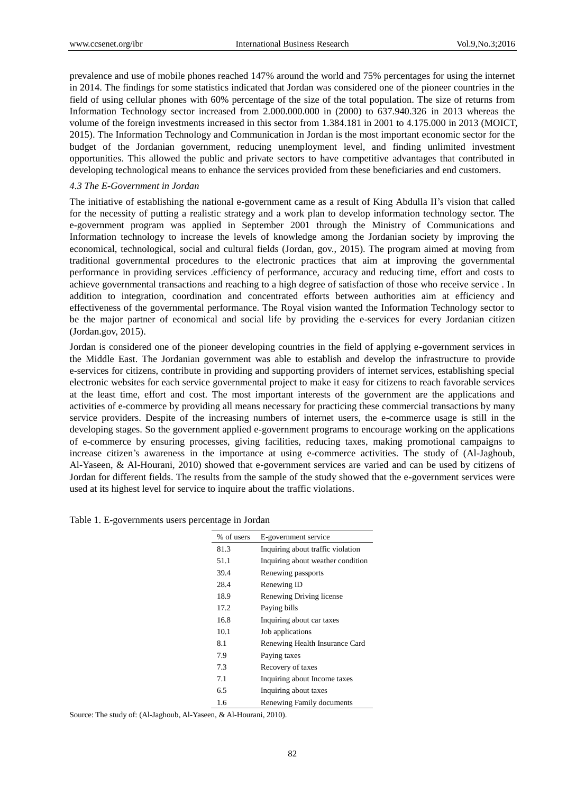prevalence and use of mobile phones reached 147% around the world and 75% percentages for using the internet in 2014. The findings for some statistics indicated that Jordan was considered one of the pioneer countries in the field of using cellular phones with 60% percentage of the size of the total population. The size of returns from Information Technology sector increased from 2.000.000.000 in (2000) to 637.940.326 in 2013 whereas the volume of the foreign investments increased in this sector from 1.384.181 in 2001 to 4.175.000 in 2013 (MOICT, 2015). The Information Technology and Communication in Jordan is the most important economic sector for the budget of the Jordanian government, reducing unemployment level, and finding unlimited investment opportunities. This allowed the public and private sectors to have competitive advantages that contributed in developing technological means to enhance the services provided from these beneficiaries and end customers.

#### *4.3 The E-Government in Jordan*

The initiative of establishing the national e-government came as a result of King Abdulla II's vision that called for the necessity of putting a realistic strategy and a work plan to develop information technology sector. The e-government program was applied in September 2001 through the Ministry of Communications and Information technology to increase the levels of knowledge among the Jordanian society by improving the economical, technological, social and cultural fields (Jordan, gov., 2015). The program aimed at moving from traditional governmental procedures to the electronic practices that aim at improving the governmental performance in providing services .efficiency of performance, accuracy and reducing time, effort and costs to achieve governmental transactions and reaching to a high degree of satisfaction of those who receive service . In addition to integration, coordination and concentrated efforts between authorities aim at efficiency and effectiveness of the governmental performance. The Royal vision wanted the Information Technology sector to be the major partner of economical and social life by providing the e-services for every Jordanian citizen (Jordan.gov, 2015).

Jordan is considered one of the pioneer developing countries in the field of applying e-government services in the Middle East. The Jordanian government was able to establish and develop the infrastructure to provide e-services for citizens, contribute in providing and supporting providers of internet services, establishing special electronic websites for each service governmental project to make it easy for citizens to reach favorable services at the least time, effort and cost. The most important interests of the government are the applications and activities of e-commerce by providing all means necessary for practicing these commercial transactions by many service providers. Despite of the increasing numbers of internet users, the e-commerce usage is still in the developing stages. So the government applied e-government programs to encourage working on the applications of e-commerce by ensuring processes, giving facilities, reducing taxes, making promotional campaigns to increase citizen's awareness in the importance at using e-commerce activities. The study of (Al-Jaghoub, Al-Yaseen, & Al-Hourani, 2010) showed that e-government services are varied and can be used by citizens of Jordan for different fields. The results from the sample of the study showed that the e-government services were used at its highest level for service to inquire about the traffic violations.

| % of users | E-government service              |
|------------|-----------------------------------|
| 81.3       | Inquiring about traffic violation |
| 51.1       | Inquiring about weather condition |
| 39.4       | Renewing passports                |
| 28.4       | Renewing ID                       |
| 18.9       | Renewing Driving license          |
| 17.2       | Paying bills                      |
| 16.8       | Inquiring about car taxes         |
| 10.1       | Job applications                  |
| 8.1        | Renewing Health Insurance Card    |
| 7.9        | Paying taxes                      |
| 7.3        | Recovery of taxes                 |
| 7.1        | Inquiring about Income taxes      |
| 6.5        | Inquiring about taxes             |
| 1.6        | Renewing Family documents         |
| 0.11T      | 2010                              |

Table 1. E-governments users percentage in Jordan

Source: The study of: (Al-Jaghoub, Al-Yaseen, & Al-Hourani, 2010).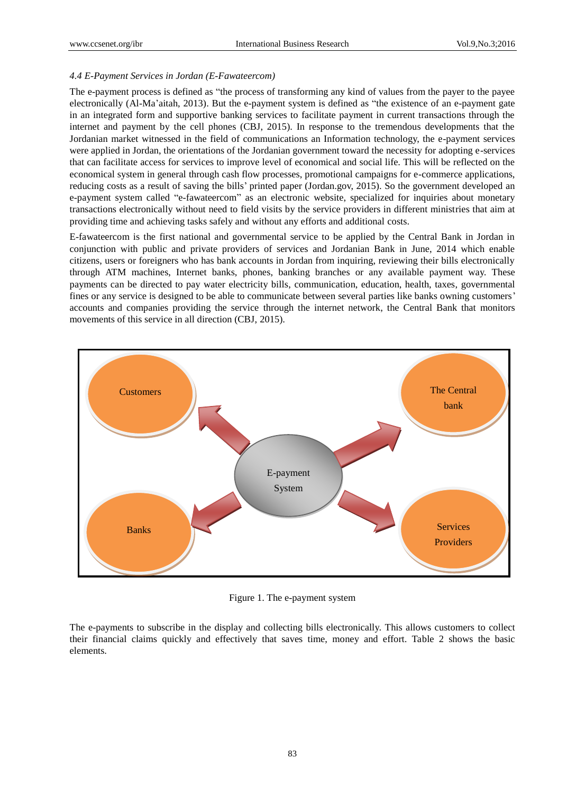## *4.4 E-Payment Services in Jordan (E-Fawateercom)*

The e-payment process is defined as "the process of transforming any kind of values from the payer to the payee electronically (Al-Ma'aitah, 2013). But the e-payment system is defined as "the existence of an e-payment gate in an integrated form and supportive banking services to facilitate payment in current transactions through the internet and payment by the cell phones (CBJ, 2015). In response to the tremendous developments that the Jordanian market witnessed in the field of communications an Information technology, the e-payment services were applied in Jordan, the orientations of the Jordanian government toward the necessity for adopting e-services that can facilitate access for services to improve level of economical and social life. This will be reflected on the economical system in general through cash flow processes, promotional campaigns for e-commerce applications, reducing costs as a result of saving the bills' printed paper (Jordan.gov, 2015). So the government developed an e-payment system called "e-fawateercom" as an electronic website, specialized for inquiries about monetary transactions electronically without need to field visits by the service providers in different ministries that aim at providing time and achieving tasks safely and without any efforts and additional costs.

E-fawateercom is the first national and governmental service to be applied by the Central Bank in Jordan in conjunction with public and private providers of services and Jordanian Bank in June, 2014 which enable citizens, users or foreigners who has bank accounts in Jordan from inquiring, reviewing their bills electronically through ATM machines, Internet banks, phones, banking branches or any available payment way. These payments can be directed to pay water electricity bills, communication, education, health, taxes, governmental fines or any service is designed to be able to communicate between several parties like banks owning customers' accounts and companies providing the service through the internet network, the Central Bank that monitors movements of this service in all direction (CBJ, 2015).



Figure 1. The e-payment system

The e-payments to subscribe in the display and collecting bills electronically. This allows customers to collect their financial claims quickly and effectively that saves time, money and effort. Table 2 shows the basic elements.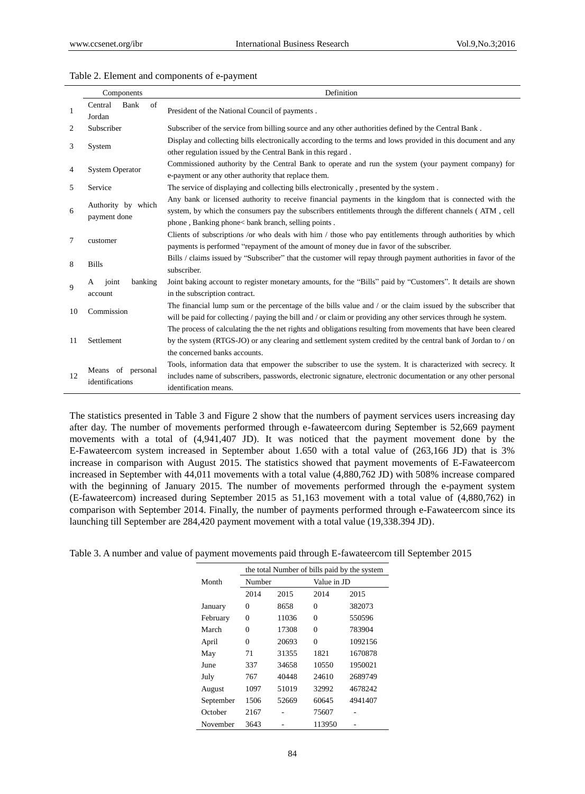| Table 2. Element and components of e-payment |
|----------------------------------------------|
|----------------------------------------------|

|                | Components                           | Definition                                                                                                                                                                                                                                                                |
|----------------|--------------------------------------|---------------------------------------------------------------------------------------------------------------------------------------------------------------------------------------------------------------------------------------------------------------------------|
| 1              | of<br>Central<br>Bank<br>Jordan      | President of the National Council of payments.                                                                                                                                                                                                                            |
| $\overline{c}$ | Subscriber                           | Subscriber of the service from billing source and any other authorities defined by the Central Bank.                                                                                                                                                                      |
| 3              | System                               | Display and collecting bills electronically according to the terms and lows provided in this document and any<br>other regulation issued by the Central Bank in this regard.                                                                                              |
| 4              | <b>System Operator</b>               | Commissioned authority by the Central Bank to operate and run the system (your payment company) for<br>e-payment or any other authority that replace them.                                                                                                                |
| 5              | Service                              | The service of displaying and collecting bills electronically, presented by the system.                                                                                                                                                                                   |
| 6              | Authority by which<br>payment done   | Any bank or licensed authority to receive financial payments in the kingdom that is connected with the<br>system, by which the consumers pay the subscribers entitlements through the different channels (ATM, cell<br>phone, Banking phone< bank branch, selling points. |
| 7              | customer                             | Clients of subscriptions /or who deals with him / those who pay entitlements through authorities by which<br>payments is performed "repayment of the amount of money due in favor of the subscriber.                                                                      |
| 8              | <b>Bills</b>                         | Bills / claims issued by "Subscriber" that the customer will repay through payment authorities in favor of the<br>subscriber.                                                                                                                                             |
| 9              | banking<br>joint<br>A<br>account     | Joint baking account to register monetary amounts, for the "Bills" paid by "Customers". It details are shown<br>in the subscription contract.                                                                                                                             |
| 10             | Commission                           | The financial lump sum or the percentage of the bills value and $\prime$ or the claim issued by the subscriber that<br>will be paid for collecting / paying the bill and / or claim or providing any other services through he system.                                    |
| 11             | Settlement                           | The process of calculating the the net rights and obligations resulting from movements that have been cleared<br>by the system (RTGS-JO) or any clearing and settlement system credited by the central bank of Jordan to / on<br>the concerned banks accounts.            |
| 12             | Means of personal<br>identifications | Tools, information data that empower the subscriber to use the system. It is characterized with secrecy. It<br>includes name of subscribers, passwords, electronic signature, electronic documentation or any other personal<br>identification means.                     |

The statistics presented in Table 3 and Figure 2 show that the numbers of payment services users increasing day after day. The number of movements performed through e-fawateercom during September is 52,669 payment movements with a total of (4,941,407 JD). It was noticed that the payment movement done by the E-Fawateercom system increased in September about 1.650 with a total value of (263,166 JD) that is 3% increase in comparison with August 2015. The statistics showed that payment movements of E-Fawateercom increased in September with 44,011 movements with a total value (4,880,762 JD) with 508% increase compared with the beginning of January 2015. The number of movements performed through the e-payment system (E-fawateercom) increased during September 2015 as 51,163 movement with a total value of (4,880,762) in comparison with September 2014. Finally, the number of payments performed through e-Fawateercom since its launching till September are 284,420 payment movement with a total value (19,338.394 JD).

|  |  | Table 3. A number and value of payment movements paid through E-fawateercom till September 2015 |  |
|--|--|-------------------------------------------------------------------------------------------------|--|
|  |  |                                                                                                 |  |

|           | the total Number of bills paid by the system |       |             |         |  |  |  |
|-----------|----------------------------------------------|-------|-------------|---------|--|--|--|
| Month     | Number                                       |       | Value in JD |         |  |  |  |
|           | 2014                                         | 2015  | 2014        | 2015    |  |  |  |
| January   | 0                                            | 8658  | $\Omega$    | 382073  |  |  |  |
| February  | 0                                            | 11036 | $\Omega$    | 550596  |  |  |  |
| March     | 0                                            | 17308 | 0           | 783904  |  |  |  |
| April     | 0                                            | 20693 | $\theta$    | 1092156 |  |  |  |
| May       | 71                                           | 31355 | 1821        | 1670878 |  |  |  |
| June      | 337                                          | 34658 | 10550       | 1950021 |  |  |  |
| July      | 767                                          | 40448 | 24610       | 2689749 |  |  |  |
| August    | 1097                                         | 51019 | 32992       | 4678242 |  |  |  |
| September | 1506                                         | 52669 | 60645       | 4941407 |  |  |  |
| October   | 2167                                         |       | 75607       |         |  |  |  |
| November  | 3643                                         |       | 113950      |         |  |  |  |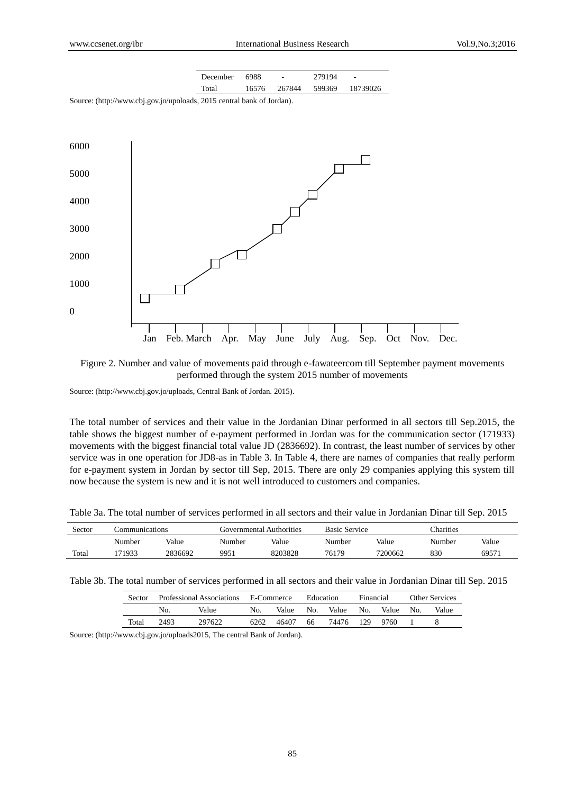| December 6988 |       | and the company of | 279194 | <b>Contract Contract</b> |
|---------------|-------|--------------------|--------|--------------------------|
| Total         | 16576 |                    |        | 267844 599369 18739026   |

Source: [\(http://www.cbj.gov.jo/upoloads,](http://www.cbj.gov.jo/upoloads) 2015 central bank of Jordan).



Figure 2. Number and value of movements paid through e-fawateercom till September payment movements performed through the system 2015 number of movements

Source: (http://www.cbj.gov.jo/uploads, Central Bank of Jordan. 2015).

The total number of services and their value in the Jordanian Dinar performed in all sectors till Sep.2015, the table shows the biggest number of e-payment performed in Jordan was for the communication sector (171933) movements with the biggest financial total value JD (2836692). In contrast, the least number of services by other service was in one operation for JD8-as in Table 3. In Table 4, there are names of companies that really perform for e-payment system in Jordan by sector till Sep, 2015. There are only 29 companies applying this system till now because the system is new and it is not well introduced to customers and companies.

Table 3a. The total number of services performed in all sectors and their value in Jordanian Dinar till Sep. 2015

| Sector | Communications |         | Governmental Authorities |         | <b>Basic Service</b> |         | <b>Charities</b> |       |
|--------|----------------|---------|--------------------------|---------|----------------------|---------|------------------|-------|
|        | Number         | Value   | Number                   | Value   | Number               | Value   | Number           | Value |
| Total  | 171933         | 2836692 | 9951                     | 8203828 | 76179                | 7200662 | 830              | 6957  |

Table 3b. The total number of services performed in all sectors and their value in Jordanian Dinar till Sep. 2015

| Sector | Professional Associations |        | E-Commerce |       | Education |       | Financial |       | <b>Other Services</b> |       |
|--------|---------------------------|--------|------------|-------|-----------|-------|-----------|-------|-----------------------|-------|
|        | No.                       | Value  | No.        | Value | No.       | Value | No.       | Value | No.                   | Value |
| Total  | 2493                      | 297622 | 6262       | 46407 | 66        | 74476 | 129       | 9760  |                       |       |

Source: (http://www.cbj.gov.jo/uploads2015, The central Bank of Jordan).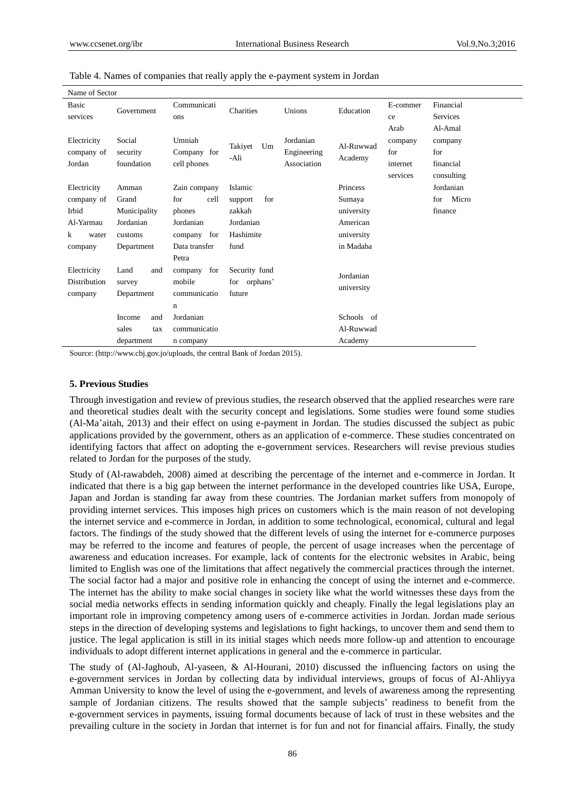| Name of Sector            |                    |                       |                |                          |            |                |                       |
|---------------------------|--------------------|-----------------------|----------------|--------------------------|------------|----------------|-----------------------|
| Basic<br>services         | Government         | Communicati<br>ons    | Charities      | Unions                   | Education  | E-commer<br>ce | Financial<br>Services |
|                           |                    |                       |                |                          |            | Arab           | Al-Amal               |
| Electricity<br>company of | Social<br>security | Umniah<br>Company for | Takiyet<br>Um  | Jordanian<br>Engineering | Al-Ruwwad  | company<br>for | company<br>for        |
| Jordan                    | foundation         | cell phones           | -Ali           | Association              | Academy    | internet       | financial             |
|                           |                    |                       |                |                          |            | services       | consulting            |
| Electricity               | Amman              | Zain company          | Islamic        |                          | Princess   |                | Jordanian             |
| company of                | Grand              | for<br>cell           | for<br>support |                          | Sumaya     |                | Micro<br>for          |
| Irbid                     | Municipality       | phones                | zakkah         |                          | university |                | finance               |
| Al-Yarmau                 | Jordanian          | Jordanian             | Jordanian      |                          | American   |                |                       |
| k<br>water                | customs            | company for           | Hashimite      |                          | university |                |                       |
| company                   | Department         | Data transfer         | fund           |                          | in Madaba  |                |                       |
|                           |                    | Petra                 |                |                          |            |                |                       |
| Electricity               | Land<br>and        | for<br>company        | Security fund  |                          | Jordanian  |                |                       |
| Distribution              | survey             | mobile                | for orphans'   |                          |            |                |                       |
| company                   | Department         | communicatio          | future         |                          | university |                |                       |
|                           |                    | n                     |                |                          |            |                |                       |
|                           | Income<br>and      | Jordanian             |                |                          | Schools of |                |                       |
|                           | sales<br>tax       | communicatio          |                |                          | Al-Ruwwad  |                |                       |
|                           | department         | n company             |                |                          | Academy    |                |                       |

Table 4. Names of companies that really apply the e-payment system in Jordan

Source: [\(http://www.cbj.gov.jo/uploads,](http://www.cbj.gov.jo/uploads,the) the central Bank of Jordan 2015).

## **5. Previous Studies**

Through investigation and review of previous studies, the research observed that the applied researches were rare and theoretical studies dealt with the security concept and legislations. Some studies were found some studies (Al-Ma'aitah, 2013) and their effect on using e-payment in Jordan. The studies discussed the subject as pubic applications provided by the government, others as an application of e-commerce. These studies concentrated on identifying factors that affect on adopting the e-government services. Researchers will revise previous studies related to Jordan for the purposes of the study.

Study of (Al-rawabdeh, 2008) aimed at describing the percentage of the internet and e-commerce in Jordan. It indicated that there is a big gap between the internet performance in the developed countries like USA, Europe, Japan and Jordan is standing far away from these countries. The Jordanian market suffers from monopoly of providing internet services. This imposes high prices on customers which is the main reason of not developing the internet service and e-commerce in Jordan, in addition to some technological, economical, cultural and legal factors. The findings of the study showed that the different levels of using the internet for e-commerce purposes may be referred to the income and features of people, the percent of usage increases when the percentage of awareness and education increases. For example, lack of contents for the electronic websites in Arabic, being limited to English was one of the limitations that affect negatively the commercial practices through the internet. The social factor had a major and positive role in enhancing the concept of using the internet and e-commerce. The internet has the ability to make social changes in society like what the world witnesses these days from the social media networks effects in sending information quickly and cheaply. Finally the legal legislations play an important role in improving competency among users of e-commerce activities in Jordan. Jordan made serious steps in the direction of developing systems and legislations to fight hackings, to uncover them and send them to justice. The legal application is still in its initial stages which needs more follow-up and attention to encourage individuals to adopt different internet applications in general and the e-commerce in particular.

The study of (Al-Jaghoub, Al-yaseen, & Al-Hourani, 2010) discussed the influencing factors on using the e-government services in Jordan by collecting data by individual interviews, groups of focus of Al-Ahliyya Amman University to know the level of using the e-government, and levels of awareness among the representing sample of Jordanian citizens. The results showed that the sample subjects' readiness to benefit from the e-government services in payments, issuing formal documents because of lack of trust in these websites and the prevailing culture in the society in Jordan that internet is for fun and not for financial affairs. Finally, the study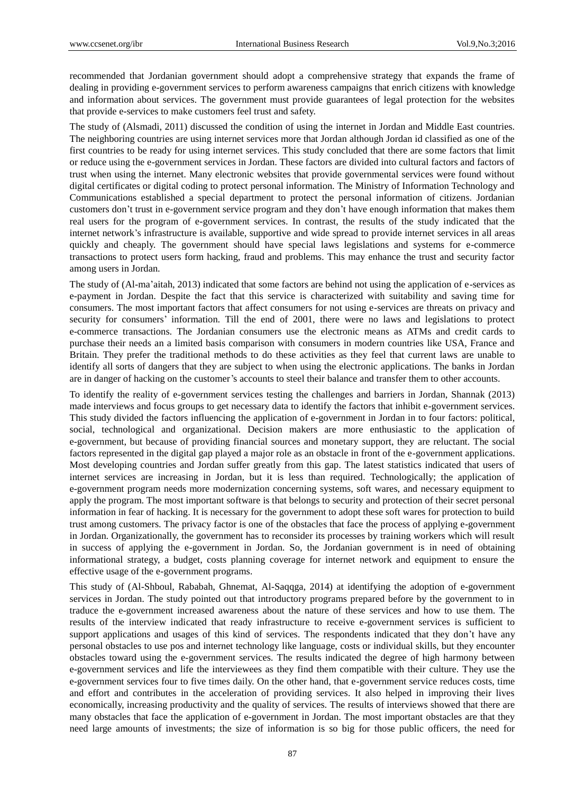recommended that Jordanian government should adopt a comprehensive strategy that expands the frame of dealing in providing e-government services to perform awareness campaigns that enrich citizens with knowledge and information about services. The government must provide guarantees of legal protection for the websites that provide e-services to make customers feel trust and safety.

The study of (Alsmadi, 2011) discussed the condition of using the internet in Jordan and Middle East countries. The neighboring countries are using internet services more that Jordan although Jordan id classified as one of the first countries to be ready for using internet services. This study concluded that there are some factors that limit or reduce using the e-government services in Jordan. These factors are divided into cultural factors and factors of trust when using the internet. Many electronic websites that provide governmental services were found without digital certificates or digital coding to protect personal information. The Ministry of Information Technology and Communications established a special department to protect the personal information of citizens. Jordanian customers don't trust in e-government service program and they don't have enough information that makes them real users for the program of e-government services. In contrast, the results of the study indicated that the internet network's infrastructure is available, supportive and wide spread to provide internet services in all areas quickly and cheaply. The government should have special laws legislations and systems for e-commerce transactions to protect users form hacking, fraud and problems. This may enhance the trust and security factor among users in Jordan.

The study of (Al-ma'aitah, 2013) indicated that some factors are behind not using the application of e-services as e-payment in Jordan. Despite the fact that this service is characterized with suitability and saving time for consumers. The most important factors that affect consumers for not using e-services are threats on privacy and security for consumers' information. Till the end of 2001, there were no laws and legislations to protect e-commerce transactions. The Jordanian consumers use the electronic means as ATMs and credit cards to purchase their needs an a limited basis comparison with consumers in modern countries like USA, France and Britain. They prefer the traditional methods to do these activities as they feel that current laws are unable to identify all sorts of dangers that they are subject to when using the electronic applications. The banks in Jordan are in danger of hacking on the customer's accounts to steel their balance and transfer them to other accounts.

To identify the reality of e-government services testing the challenges and barriers in Jordan, Shannak (2013) made interviews and focus groups to get necessary data to identify the factors that inhibit e-government services. This study divided the factors influencing the application of e-government in Jordan in to four factors: political, social, technological and organizational. Decision makers are more enthusiastic to the application of e-government, but because of providing financial sources and monetary support, they are reluctant. The social factors represented in the digital gap played a major role as an obstacle in front of the e-government applications. Most developing countries and Jordan suffer greatly from this gap. The latest statistics indicated that users of internet services are increasing in Jordan, but it is less than required. Technologically; the application of e-government program needs more modernization concerning systems, soft wares, and necessary equipment to apply the program. The most important software is that belongs to security and protection of their secret personal information in fear of hacking. It is necessary for the government to adopt these soft wares for protection to build trust among customers. The privacy factor is one of the obstacles that face the process of applying e-government in Jordan. Organizationally, the government has to reconsider its processes by training workers which will result in success of applying the e-government in Jordan. So, the Jordanian government is in need of obtaining informational strategy, a budget, costs planning coverage for internet network and equipment to ensure the effective usage of the e-government programs.

This study of (Al-Shboul, Rababah, Ghnemat, Al-Saqqga, 2014) at identifying the adoption of e-government services in Jordan. The study pointed out that introductory programs prepared before by the government to in traduce the e-government increased awareness about the nature of these services and how to use them. The results of the interview indicated that ready infrastructure to receive e-government services is sufficient to support applications and usages of this kind of services. The respondents indicated that they don't have any personal obstacles to use pos and internet technology like language, costs or individual skills, but they encounter obstacles toward using the e-government services. The results indicated the degree of high harmony between e-government services and life the interviewees as they find them compatible with their culture. They use the e-government services four to five times daily. On the other hand, that e-government service reduces costs, time and effort and contributes in the acceleration of providing services. It also helped in improving their lives economically, increasing productivity and the quality of services. The results of interviews showed that there are many obstacles that face the application of e-government in Jordan. The most important obstacles are that they need large amounts of investments; the size of information is so big for those public officers, the need for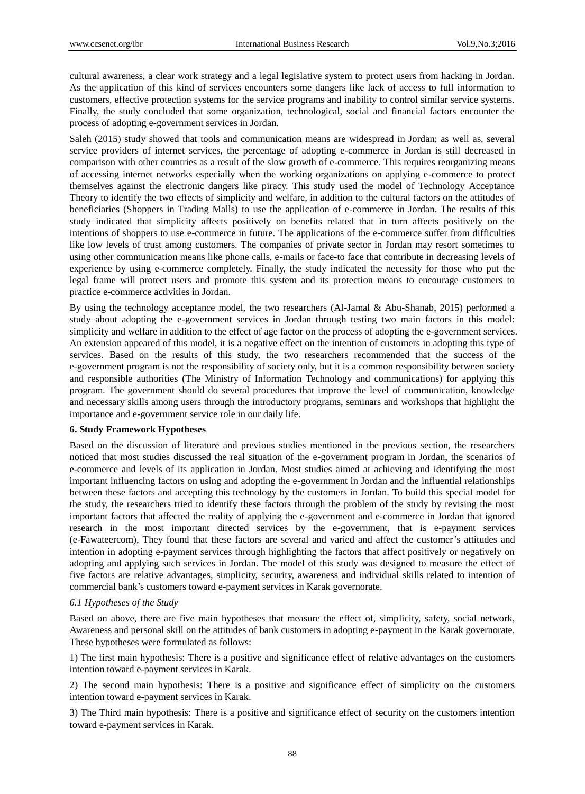cultural awareness, a clear work strategy and a legal legislative system to protect users from hacking in Jordan. As the application of this kind of services encounters some dangers like lack of access to full information to customers, effective protection systems for the service programs and inability to control similar service systems. Finally, the study concluded that some organization, technological, social and financial factors encounter the process of adopting e-government services in Jordan.

Saleh (2015) study showed that tools and communication means are widespread in Jordan; as well as, several service providers of internet services, the percentage of adopting e-commerce in Jordan is still decreased in comparison with other countries as a result of the slow growth of e-commerce. This requires reorganizing means of accessing internet networks especially when the working organizations on applying e-commerce to protect themselves against the electronic dangers like piracy. This study used the model of Technology Acceptance Theory to identify the two effects of simplicity and welfare, in addition to the cultural factors on the attitudes of beneficiaries (Shoppers in Trading Malls) to use the application of e-commerce in Jordan. The results of this study indicated that simplicity affects positively on benefits related that in turn affects positively on the intentions of shoppers to use e-commerce in future. The applications of the e-commerce suffer from difficulties like low levels of trust among customers. The companies of private sector in Jordan may resort sometimes to using other communication means like phone calls, e-mails or face-to face that contribute in decreasing levels of experience by using e-commerce completely. Finally, the study indicated the necessity for those who put the legal frame will protect users and promote this system and its protection means to encourage customers to practice e-commerce activities in Jordan.

By using the technology acceptance model, the two researchers (Al-Jamal & Abu-Shanab, 2015) performed a study about adopting the e-government services in Jordan through testing two main factors in this model: simplicity and welfare in addition to the effect of age factor on the process of adopting the e-government services. An extension appeared of this model, it is a negative effect on the intention of customers in adopting this type of services. Based on the results of this study, the two researchers recommended that the success of the e-government program is not the responsibility of society only, but it is a common responsibility between society and responsible authorities (The Ministry of Information Technology and communications) for applying this program. The government should do several procedures that improve the level of communication, knowledge and necessary skills among users through the introductory programs, seminars and workshops that highlight the importance and e-government service role in our daily life.

#### **6. Study Framework Hypotheses**

Based on the discussion of literature and previous studies mentioned in the previous section, the researchers noticed that most studies discussed the real situation of the e-government program in Jordan, the scenarios of e-commerce and levels of its application in Jordan. Most studies aimed at achieving and identifying the most important influencing factors on using and adopting the e-government in Jordan and the influential relationships between these factors and accepting this technology by the customers in Jordan. To build this special model for the study, the researchers tried to identify these factors through the problem of the study by revising the most important factors that affected the reality of applying the e-government and e-commerce in Jordan that ignored research in the most important directed services by the e-government, that is e-payment services (e-Fawateercom), They found that these factors are several and varied and affect the customer's attitudes and intention in adopting e-payment services through highlighting the factors that affect positively or negatively on adopting and applying such services in Jordan. The model of this study was designed to measure the effect of five factors are relative advantages, simplicity, security, awareness and individual skills related to intention of commercial bank's customers toward e-payment services in Karak governorate.

## *6.1 Hypotheses of the Study*

Based on above, there are five main hypotheses that measure the effect of, simplicity, safety, social network, Awareness and personal skill on the attitudes of bank customers in adopting e-payment in the Karak governorate. These hypotheses were formulated as follows:

1) The first main hypothesis: There is a positive and significance effect of relative advantages on the customers intention toward e-payment services in Karak.

2) The second main hypothesis: There is a positive and significance effect of simplicity on the customers intention toward e-payment services in Karak.

3) The Third main hypothesis: There is a positive and significance effect of security on the customers intention toward e-payment services in Karak.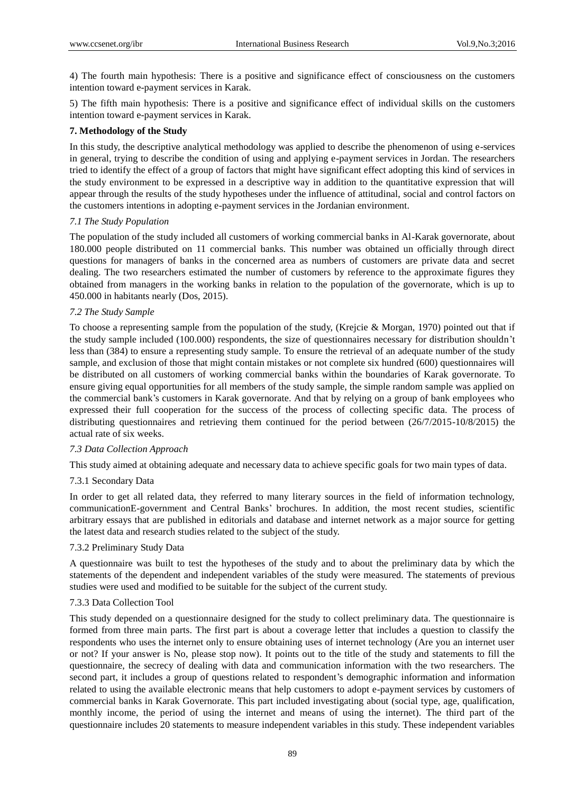4) The fourth main hypothesis: There is a positive and significance effect of consciousness on the customers intention toward e-payment services in Karak.

5) The fifth main hypothesis: There is a positive and significance effect of individual skills on the customers intention toward e-payment services in Karak.

# **7. Methodology of the Study**

In this study, the descriptive analytical methodology was applied to describe the phenomenon of using e-services in general, trying to describe the condition of using and applying e-payment services in Jordan. The researchers tried to identify the effect of a group of factors that might have significant effect adopting this kind of services in the study environment to be expressed in a descriptive way in addition to the quantitative expression that will appear through the results of the study hypotheses under the influence of attitudinal, social and control factors on the customers intentions in adopting e-payment services in the Jordanian environment.

# *7.1 The Study Population*

The population of the study included all customers of working commercial banks in Al-Karak governorate, about 180.000 people distributed on 11 commercial banks. This number was obtained un officially through direct questions for managers of banks in the concerned area as numbers of customers are private data and secret dealing. The two researchers estimated the number of customers by reference to the approximate figures they obtained from managers in the working banks in relation to the population of the governorate, which is up to 450.000 in habitants nearly (Dos, 2015).

# *7.2 The Study Sample*

To choose a representing sample from the population of the study, (Krejcie & Morgan, 1970) pointed out that if the study sample included (100.000) respondents, the size of questionnaires necessary for distribution shouldn't less than (384) to ensure a representing study sample. To ensure the retrieval of an adequate number of the study sample, and exclusion of those that might contain mistakes or not complete six hundred (600) questionnaires will be distributed on all customers of working commercial banks within the boundaries of Karak governorate. To ensure giving equal opportunities for all members of the study sample, the simple random sample was applied on the commercial bank's customers in Karak governorate. And that by relying on a group of bank employees who expressed their full cooperation for the success of the process of collecting specific data. The process of distributing questionnaires and retrieving them continued for the period between (26/7/2015-10/8/2015) the actual rate of six weeks.

# *7.3 Data Collection Approach*

This study aimed at obtaining adequate and necessary data to achieve specific goals for two main types of data.

# 7.3.1 Secondary Data

In order to get all related data, they referred to many literary sources in the field of information technology, communicationE-government and Central Banks' brochures. In addition, the most recent studies, scientific arbitrary essays that are published in editorials and database and internet network as a major source for getting the latest data and research studies related to the subject of the study.

# 7.3.2 Preliminary Study Data

A questionnaire was built to test the hypotheses of the study and to about the preliminary data by which the statements of the dependent and independent variables of the study were measured. The statements of previous studies were used and modified to be suitable for the subject of the current study.

# 7.3.3 Data Collection Tool

This study depended on a questionnaire designed for the study to collect preliminary data. The questionnaire is formed from three main parts. The first part is about a coverage letter that includes a question to classify the respondents who uses the internet only to ensure obtaining uses of internet technology (Are you an internet user or not? If your answer is No, please stop now). It points out to the title of the study and statements to fill the questionnaire, the secrecy of dealing with data and communication information with the two researchers. The second part, it includes a group of questions related to respondent's demographic information and information related to using the available electronic means that help customers to adopt e-payment services by customers of commercial banks in Karak Governorate. This part included investigating about (social type, age, qualification, monthly income, the period of using the internet and means of using the internet). The third part of the questionnaire includes 20 statements to measure independent variables in this study. These independent variables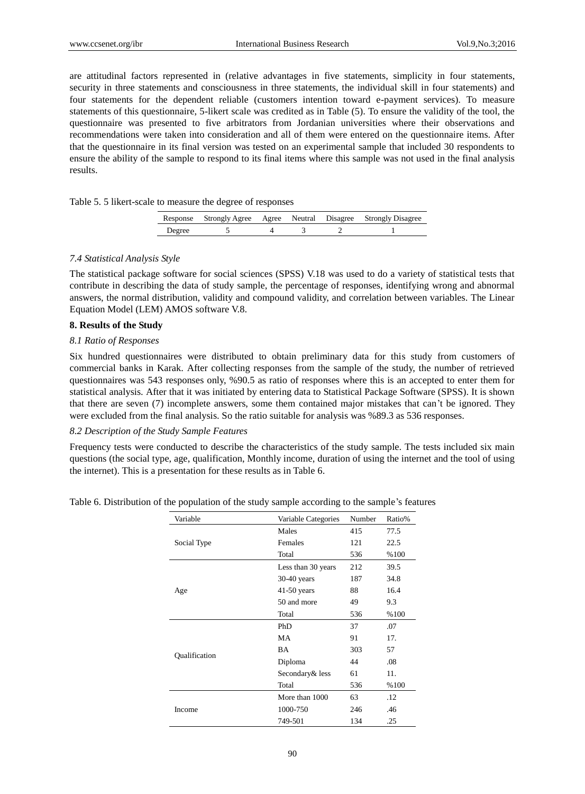are attitudinal factors represented in (relative advantages in five statements, simplicity in four statements, security in three statements and consciousness in three statements, the individual skill in four statements) and four statements for the dependent reliable (customers intention toward e-payment services). To measure statements of this questionnaire, 5-likert scale was credited as in Table (5). To ensure the validity of the tool, the questionnaire was presented to five arbitrators from Jordanian universities where their observations and recommendations were taken into consideration and all of them were entered on the questionnaire items. After that the questionnaire in its final version was tested on an experimental sample that included 30 respondents to ensure the ability of the sample to respond to its final items where this sample was not used in the final analysis results.

|  |  |  |  | Table 5. 5 likert-scale to measure the degree of responses |
|--|--|--|--|------------------------------------------------------------|
|--|--|--|--|------------------------------------------------------------|

|        |  |  | Response Strongly Agree Agree Neutral Disagree Strongly Disagree |
|--------|--|--|------------------------------------------------------------------|
| Degree |  |  |                                                                  |

#### *7.4 Statistical Analysis Style*

The statistical package software for social sciences (SPSS) V.18 was used to do a variety of statistical tests that contribute in describing the data of study sample, the percentage of responses, identifying wrong and abnormal answers, the normal distribution, validity and compound validity, and correlation between variables. The Linear Equation Model (LEM) AMOS software V.8.

## **8. Results of the Study**

## *8.1 Ratio of Responses*

Six hundred questionnaires were distributed to obtain preliminary data for this study from customers of commercial banks in Karak. After collecting responses from the sample of the study, the number of retrieved questionnaires was 543 responses only, %90.5 as ratio of responses where this is an accepted to enter them for statistical analysis. After that it was initiated by entering data to Statistical Package Software (SPSS). It is shown that there are seven (7) incomplete answers, some them contained major mistakes that can't be ignored. They were excluded from the final analysis. So the ratio suitable for analysis was %89.3 as 536 responses.

## *8.2 Description of the Study Sample Features*

Frequency tests were conducted to describe the characteristics of the study sample. The tests included six main questions (the social type, age, qualification, Monthly income, duration of using the internet and the tool of using the internet). This is a presentation for these results as in Table 6.

Table 6. Distribution of the population of the study sample according to the sample's features

| Variable      | Variable Categories | Number | Ratio% |
|---------------|---------------------|--------|--------|
|               | Males               | 415    | 77.5   |
| Social Type   | Females             | 121    | 22.5   |
|               | Total               | 536    | %100   |
|               | Less than 30 years  | 212    | 39.5   |
|               | $30-40$ years       | 187    | 34.8   |
| Age           | $41-50$ years       | 88     | 16.4   |
|               | 50 and more         | 49     | 9.3    |
|               | Total               | 536    | %100   |
|               | PhD                 | 37     | .07    |
|               | MA                  | 91     | 17.    |
|               | BA                  | 303    | 57     |
| Oualification | Diploma             | 44     | .08    |
|               | Secondary & less    | 61     | 11.    |
|               | Total               | 536    | %100   |
|               | More than 1000      | 63     | .12    |
| Income        | 1000-750            | 246    | .46    |
|               | 749-501             | 134    | .25    |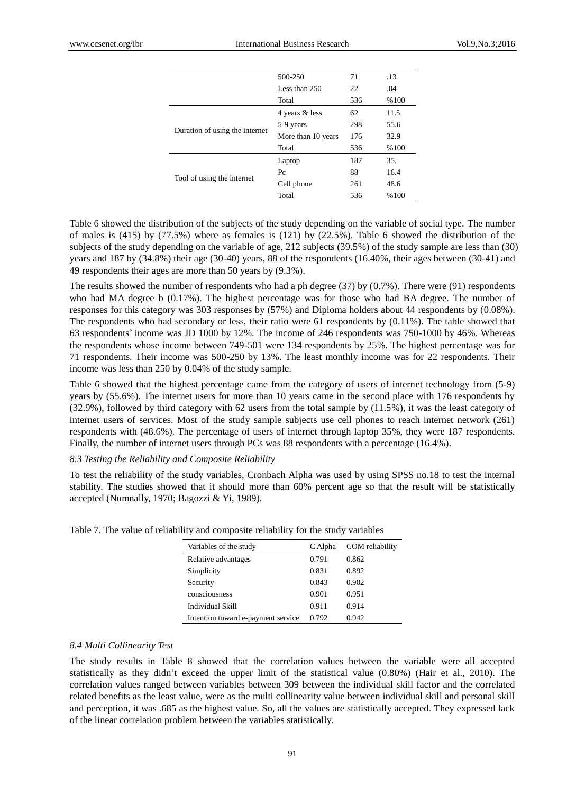|                                | 500-250            | 71  | .13  |
|--------------------------------|--------------------|-----|------|
|                                | Less than 250      | 22  | .04  |
|                                | Total              | 536 | %100 |
|                                | 4 years & less     | 62  | 11.5 |
| Duration of using the internet | 5-9 years          | 298 | 55.6 |
|                                | More than 10 years | 176 | 32.9 |
|                                | Total              | 536 | %100 |
|                                | Laptop             | 187 | 35.  |
| Tool of using the internet     | Pc                 | 88  | 16.4 |
|                                | Cell phone         | 261 | 48.6 |
|                                | Total              | 536 | %100 |

Table 6 showed the distribution of the subjects of the study depending on the variable of social type. The number of males is (415) by (77.5%) where as females is (121) by (22.5%). Table 6 showed the distribution of the subjects of the study depending on the variable of age, 212 subjects (39.5%) of the study sample are less than (30) years and 187 by (34.8%) their age (30-40) years, 88 of the respondents (16.40%, their ages between (30-41) and 49 respondents their ages are more than 50 years by (9.3%).

The results showed the number of respondents who had a ph degree (37) by (0.7%). There were (91) respondents who had MA degree b (0.17%). The highest percentage was for those who had BA degree. The number of responses for this category was 303 responses by (57%) and Diploma holders about 44 respondents by (0.08%). The respondents who had secondary or less, their ratio were 61 respondents by (0.11%). The table showed that 63 respondents' income was JD 1000 by 12%. The income of 246 respondents was 750-1000 by 46%. Whereas the respondents whose income between 749-501 were 134 respondents by 25%. The highest percentage was for 71 respondents. Their income was 500-250 by 13%. The least monthly income was for 22 respondents. Their income was less than 250 by 0.04% of the study sample.

Table 6 showed that the highest percentage came from the category of users of internet technology from (5-9) years by (55.6%). The internet users for more than 10 years came in the second place with 176 respondents by (32.9%), followed by third category with 62 users from the total sample by (11.5%), it was the least category of internet users of services. Most of the study sample subjects use cell phones to reach internet network (261) respondents with (48.6%). The percentage of users of internet through laptop 35%, they were 187 respondents. Finally, the number of internet users through PCs was 88 respondents with a percentage (16.4%).

## *8.3 Testing the Reliability and Composite Reliability*

To test the reliability of the study variables, Cronbach Alpha was used by using SPSS no.18 to test the internal stability. The studies showed that it should more than 60% percent age so that the result will be statistically accepted (Numnally, 1970; Bagozzi & Yi, 1989).

| Variables of the study             | C Alpha | COM reliability |
|------------------------------------|---------|-----------------|
| Relative advantages                | 0.791   | 0.862           |
| Simplicity                         | 0.831   | 0.892           |
| Security                           | 0.843   | 0.902           |
| consciousness                      | 0.901   | 0.951           |
| Individual Skill                   | 0.911   | 0.914           |
| Intention toward e-payment service | 0.792   | 0.942           |

|  |  |  |  |  |  | Table 7. The value of reliability and composite reliability for the study variables |
|--|--|--|--|--|--|-------------------------------------------------------------------------------------|
|  |  |  |  |  |  |                                                                                     |

# *8.4 Multi Collinearity Test*

The study results in Table 8 showed that the correlation values between the variable were all accepted statistically as they didn't exceed the upper limit of the statistical value (0.80%) (Hair et al., 2010). The correlation values ranged between variables between 309 between the individual skill factor and the correlated related benefits as the least value, were as the multi collinearity value between individual skill and personal skill and perception, it was .685 as the highest value. So, all the values are statistically accepted. They expressed lack of the linear correlation problem between the variables statistically.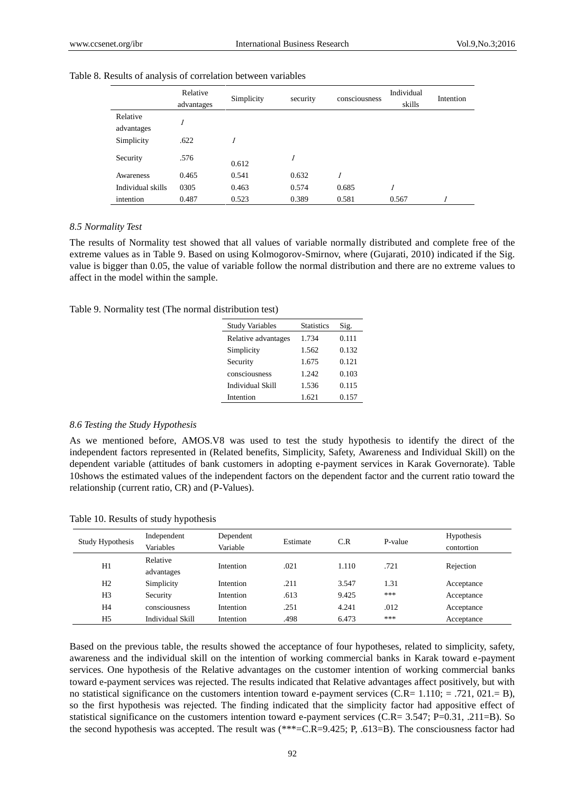|                        | Relative<br>advantages | Simplicity | security | consciousness | Individual<br>skills | Intention |
|------------------------|------------------------|------------|----------|---------------|----------------------|-----------|
| Relative<br>advantages |                        |            |          |               |                      |           |
| Simplicity             | .622                   |            |          |               |                      |           |
| Security               | .576                   | 0.612      | 1        |               |                      |           |
| Awareness              | 0.465                  | 0.541      | 0.632    |               |                      |           |
| Individual skills      | 0305                   | 0.463      | 0.574    | 0.685         | 1                    |           |
| intention              | 0.487                  | 0.523      | 0.389    | 0.581         | 0.567                |           |

#### Table 8. Results of analysis of correlation between variables

#### *8.5 Normality Test*

The results of Normality test showed that all values of variable normally distributed and complete free of the extreme values as in Table 9. Based on using Kolmogorov-Smirnov, where (Gujarati, 2010) indicated if the Sig. value is bigger than 0.05, the value of variable follow the normal distribution and there are no extreme values to affect in the model within the sample.

|  | Table 9. Normality test (The normal distribution test) |  |
|--|--------------------------------------------------------|--|
|--|--------------------------------------------------------|--|

| <b>Study Variables</b>  | <b>Statistics</b> | Sig.  |
|-------------------------|-------------------|-------|
| Relative advantages     | 1.734             | 0.111 |
| Simplicity              | 1.562             | 0.132 |
| Security                | 1.675             | 0.121 |
| consciousness           | 1.242             | 0.103 |
| <b>Individual Skill</b> | 1.536             | 0.115 |
| Intention               | 1.621             | 0.157 |
|                         |                   |       |

#### *8.6 Testing the Study Hypothesis*

As we mentioned before, AMOS.V8 was used to test the study hypothesis to identify the direct of the independent factors represented in (Related benefits, Simplicity, Safety, Awareness and Individual Skill) on the dependent variable (attitudes of bank customers in adopting e-payment services in Karak Governorate). Table 10shows the estimated values of the independent factors on the dependent factor and the current ratio toward the relationship (current ratio, CR) and (P-Values).

Table 10. Results of study hypothesis

| <b>Study Hypothesis</b> | Independent<br>Variables | Dependent<br>Variable | Estimate | C.R   | P-value | <b>Hypothesis</b><br>contortion |
|-------------------------|--------------------------|-----------------------|----------|-------|---------|---------------------------------|
| H1                      | Relative                 | Intention             | .021     | 1.110 | .721    | Rejection                       |
|                         | advantages               |                       |          |       |         |                                 |
| H <sub>2</sub>          | Simplicity               | Intention             | .211     | 3.547 | 1.31    | Acceptance                      |
| H <sub>3</sub>          | Security                 | Intention             | .613     | 9.425 | ***     | Acceptance                      |
| H <sub>4</sub>          | consciousness            | Intention             | .251     | 4.241 | .012    | Acceptance                      |
| H <sub>5</sub>          | Individual Skill         | Intention             | .498     | 6.473 | ***     | Acceptance                      |

Based on the previous table, the results showed the acceptance of four hypotheses, related to simplicity, safety, awareness and the individual skill on the intention of working commercial banks in Karak toward e-payment services. One hypothesis of the Relative advantages on the customer intention of working commercial banks toward e-payment services was rejected. The results indicated that Relative advantages affect positively, but with no statistical significance on the customers intention toward e-payment services (C.R=  $1.110$ ; = .721, 021.= B), so the first hypothesis was rejected. The finding indicated that the simplicity factor had appositive effect of statistical significance on the customers intention toward e-payment services (C.R= 3.547; P=0.31, .211=B). So the second hypothesis was accepted. The result was (\*\*\*=C.R=9.425; P, .613=B). The consciousness factor had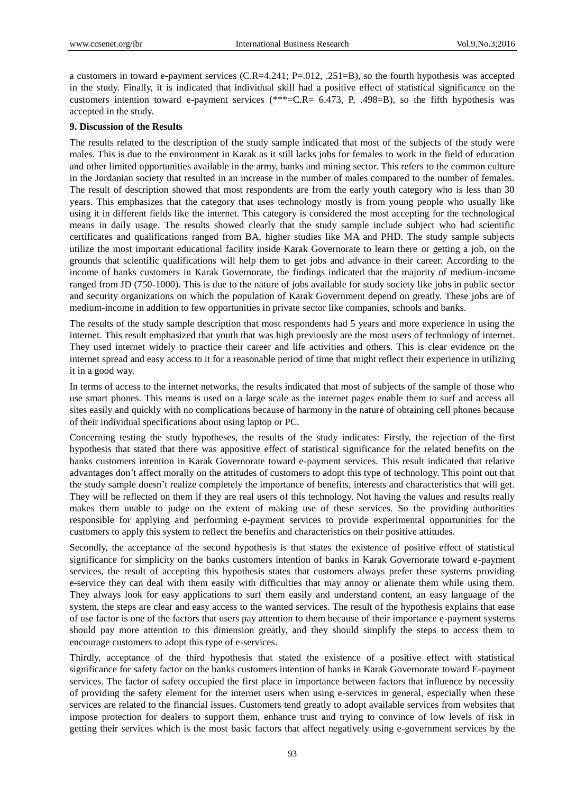a customers in toward e-payment services  $(C.R=4.241; P=.012, .251=B)$ , so the fourth hypothesis was accepted in the study. Finally, it is indicated that individual skill had a positive effect of statistical significance on the customers intention toward e-payment services (\*\*\*=C.R= 6.473, P, .498=B), so the fifth hypothesis was accepted in the study.

#### **9. Discussion of the Results**

The results related to the description of the study sample indicated that most of the subjects of the study were males. This is due to the environment in Karak as it still lacks jobs for females to work in the field of education and other limited opportunities available in the army, banks and mining sector. This refers to the common culture in the Jordanian society that resulted in an increase in the number of males compared to the number of females. The result of description showed that most respondents are from the early youth category who is less than 30 years. This emphasizes that the category that uses technology mostly is from young people who usually like using it in different fields like the internet. This category is considered the most accepting for the technological means in daily usage. The results showed clearly that the study sample include subject who had scientific certificates and qualifications ranged from BA, higher studies like MA and PHD. The study sample subjects utilize the most important educational facility inside Karak Governorate to learn there or getting a job, on the grounds that scientific qualifications will help them to get jobs and advance in their career. According to the income of banks customers in Karak Governorate, the findings indicated that the majority of medium-income ranged from JD (750-1000). This is due to the nature of jobs available for study society like jobs in public sector and security organizations on which the population of Karak Government depend on greatly. These jobs are of medium-income in addition to few opportunities in private sector like companies, schools and banks.

The results of the study sample description that most respondents had 5 years and more experience in using the internet. This result emphasized that youth that was high previously are the most users of technology of internet. They used internet widely to practice their career and life activities and others. This is clear evidence on the internet spread and easy access to it for a reasonable period of time that might reflect their experience in utilizing it in a good way.

In terms of access to the internet networks, the results indicated that most of subjects of the sample of those who use smart phones. This means is used on a large scale as the internet pages enable them to surf and access all sites easily and quickly with no complications because of harmony in the nature of obtaining cell phones because of their individual specifications about using laptop or PC.

Concerning testing the study hypotheses, the results of the study indicates: Firstly, the rejection of the first hypothesis that stated that there was appositive effect of statistical significance for the related benefits on the banks customers intention in Karak Governorate toward e-payment services. This result indicated that relative advantages don't affect morally on the attitudes of customers to adopt this type of technology. This point out that the study sample doesn't realize completely the importance of benefits, interests and characteristics that will get. They will be reflected on them if they are real users of this technology. Not having the values and results really makes them unable to judge on the extent of making use of these services. So the providing authorities responsible for applying and performing e-payment services to provide experimental opportunities for the customers to apply this system to reflect the benefits and characteristics on their positive attitudes.

Secondly, the acceptance of the second hypothesis is that states the existence of positive effect of statistical significance for simplicity on the banks customers intention of banks in Karak Governorate toward e-payment services, the result of accepting this hypothesis states that customers always prefer these systems providing e-service they can deal with them easily with difficulties that may annoy or alienate them while using them. They always look for easy applications to surf them easily and understand content, an easy language of the system, the steps are clear and easy access to the wanted services. The result of the hypothesis explains that ease of use factor is one of the factors that users pay attention to them because of their importance e-payment systems should pay more attention to this dimension greatly, and they should simplify the steps to access them to encourage customers to adopt this type of e-services.

Thirdly, acceptance of the third hypothesis that stated the existence of a positive effect with statistical significance for safety factor on the banks customers intention of banks in Karak Governorate toward E-payment services. The factor of safety occupied the first place in importance between factors that influence by necessity of providing the safety element for the internet users when using e-services in general, especially when these services are related to the financial issues. Customers tend greatly to adopt available services from websites that impose protection for dealers to support them, enhance trust and trying to convince of low levels of risk in getting their services which is the most basic factors that affect negatively using e-government services by the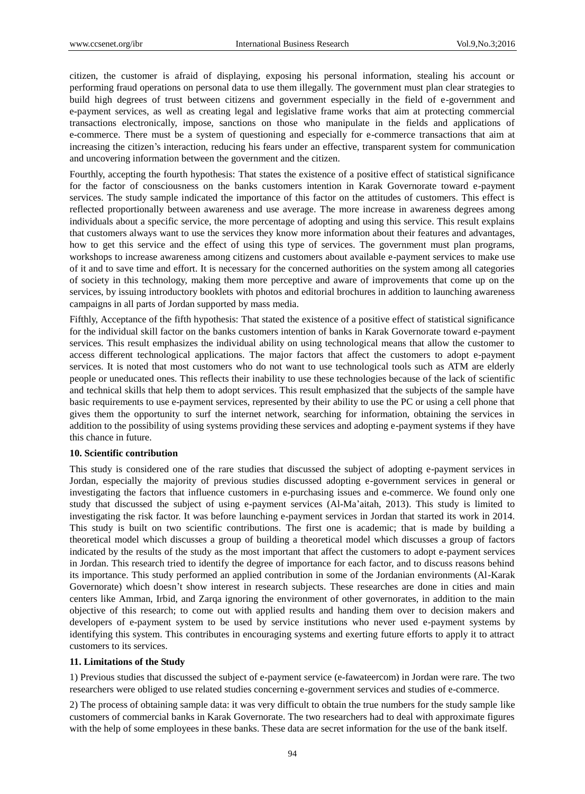citizen, the customer is afraid of displaying, exposing his personal information, stealing his account or performing fraud operations on personal data to use them illegally. The government must plan clear strategies to build high degrees of trust between citizens and government especially in the field of e-government and e-payment services, as well as creating legal and legislative frame works that aim at protecting commercial transactions electronically, impose, sanctions on those who manipulate in the fields and applications of e-commerce. There must be a system of questioning and especially for e-commerce transactions that aim at increasing the citizen's interaction, reducing his fears under an effective, transparent system for communication and uncovering information between the government and the citizen.

Fourthly, accepting the fourth hypothesis: That states the existence of a positive effect of statistical significance for the factor of consciousness on the banks customers intention in Karak Governorate toward e-payment services. The study sample indicated the importance of this factor on the attitudes of customers. This effect is reflected proportionally between awareness and use average. The more increase in awareness degrees among individuals about a specific service, the more percentage of adopting and using this service. This result explains that customers always want to use the services they know more information about their features and advantages, how to get this service and the effect of using this type of services. The government must plan programs, workshops to increase awareness among citizens and customers about available e-payment services to make use of it and to save time and effort. It is necessary for the concerned authorities on the system among all categories of society in this technology, making them more perceptive and aware of improvements that come up on the services, by issuing introductory booklets with photos and editorial brochures in addition to launching awareness campaigns in all parts of Jordan supported by mass media.

Fifthly, Acceptance of the fifth hypothesis: That stated the existence of a positive effect of statistical significance for the individual skill factor on the banks customers intention of banks in Karak Governorate toward e-payment services. This result emphasizes the individual ability on using technological means that allow the customer to access different technological applications. The major factors that affect the customers to adopt e-payment services. It is noted that most customers who do not want to use technological tools such as ATM are elderly people or uneducated ones. This reflects their inability to use these technologies because of the lack of scientific and technical skills that help them to adopt services. This result emphasized that the subjects of the sample have basic requirements to use e-payment services, represented by their ability to use the PC or using a cell phone that gives them the opportunity to surf the internet network, searching for information, obtaining the services in addition to the possibility of using systems providing these services and adopting e-payment systems if they have this chance in future.

# **10. Scientific contribution**

This study is considered one of the rare studies that discussed the subject of adopting e-payment services in Jordan, especially the majority of previous studies discussed adopting e-government services in general or investigating the factors that influence customers in e-purchasing issues and e-commerce. We found only one study that discussed the subject of using e-payment services (Al-Ma'aitah, 2013). This study is limited to investigating the risk factor. It was before launching e-payment services in Jordan that started its work in 2014. This study is built on two scientific contributions. The first one is academic; that is made by building a theoretical model which discusses a group of building a theoretical model which discusses a group of factors indicated by the results of the study as the most important that affect the customers to adopt e-payment services in Jordan. This research tried to identify the degree of importance for each factor, and to discuss reasons behind its importance. This study performed an applied contribution in some of the Jordanian environments (Al-Karak Governorate) which doesn't show interest in research subjects. These researches are done in cities and main centers like Amman, Irbid, and Zarqa ignoring the environment of other governorates, in addition to the main objective of this research; to come out with applied results and handing them over to decision makers and developers of e-payment system to be used by service institutions who never used e-payment systems by identifying this system. This contributes in encouraging systems and exerting future efforts to apply it to attract customers to its services.

## **11. Limitations of the Study**

1) Previous studies that discussed the subject of e-payment service (e-fawateercom) in Jordan were rare. The two researchers were obliged to use related studies concerning e-government services and studies of e-commerce.

2) The process of obtaining sample data: it was very difficult to obtain the true numbers for the study sample like customers of commercial banks in Karak Governorate. The two researchers had to deal with approximate figures with the help of some employees in these banks. These data are secret information for the use of the bank itself.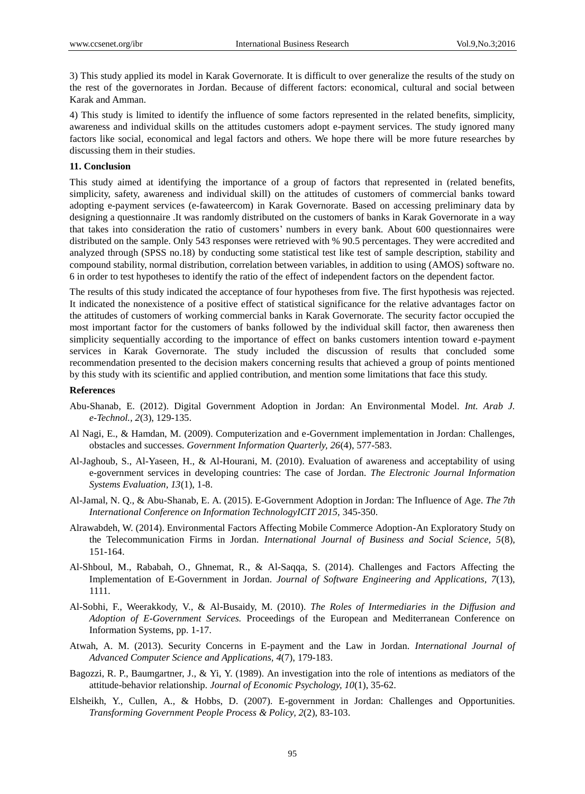3) This study applied its model in Karak Governorate. It is difficult to over generalize the results of the study on the rest of the governorates in Jordan. Because of different factors: economical, cultural and social between Karak and Amman.

4) This study is limited to identify the influence of some factors represented in the related benefits, simplicity, awareness and individual skills on the attitudes customers adopt e-payment services. The study ignored many factors like social, economical and legal factors and others. We hope there will be more future researches by discussing them in their studies.

# **11. Conclusion**

This study aimed at identifying the importance of a group of factors that represented in (related benefits, simplicity, safety, awareness and individual skill) on the attitudes of customers of commercial banks toward adopting e-payment services (e-fawateercom) in Karak Governorate. Based on accessing preliminary data by designing a questionnaire .It was randomly distributed on the customers of banks in Karak Governorate in a way that takes into consideration the ratio of customers' numbers in every bank. About 600 questionnaires were distributed on the sample. Only 543 responses were retrieved with % 90.5 percentages. They were accredited and analyzed through (SPSS no.18) by conducting some statistical test like test of sample description, stability and compound stability, normal distribution, correlation between variables, in addition to using (AMOS) software no. 6 in order to test hypotheses to identify the ratio of the effect of independent factors on the dependent factor.

The results of this study indicated the acceptance of four hypotheses from five. The first hypothesis was rejected. It indicated the nonexistence of a positive effect of statistical significance for the relative advantages factor on the attitudes of customers of working commercial banks in Karak Governorate. The security factor occupied the most important factor for the customers of banks followed by the individual skill factor, then awareness then simplicity sequentially according to the importance of effect on banks customers intention toward e-payment services in Karak Governorate. The study included the discussion of results that concluded some recommendation presented to the decision makers concerning results that achieved a group of points mentioned by this study with its scientific and applied contribution, and mention some limitations that face this study.

## **References**

- Abu-Shanab, E. (2012). Digital Government Adoption in Jordan: An Environmental Model. *Int. Arab J. e-Technol., 2*(3), 129-135.
- Al Nagi, E., & Hamdan, M. (2009). Computerization and e-Government implementation in Jordan: Challenges, obstacles and successes. *Government Information Quarterly, 26*(4), 577-583.
- Al-Jaghoub, S., Al-Yaseen, H., & Al-Hourani, M. (2010). Evaluation of awareness and acceptability of using e-government services in developing countries: The case of Jordan. *The Electronic Journal Information Systems Evaluation, 13*(1), 1-8.
- Al-Jamal, N. Q., & Abu-Shanab, E. A. (2015). E-Government Adoption in Jordan: The Influence of Age. *The 7th International Conference on Information TechnologyICIT 2015,* 345-350.
- Alrawabdeh, W. (2014). Environmental Factors Affecting Mobile Commerce Adoption-An Exploratory Study on the Telecommunication Firms in Jordan. *International Journal of Business and Social Science, 5*(8), 151-164.
- Al-Shboul, M., Rababah, O., Ghnemat, R., & Al-Saqqa, S. (2014). Challenges and Factors Affecting the Implementation of E-Government in Jordan. *Journal of Software Engineering and Applications, 7*(13), 1111.
- Al-Sobhi, F., Weerakkody, V., & Al-Busaidy, M. (2010). *The Roles of Intermediaries in the Diffusion and Adoption of E-Government Services.* Proceedings of the European and Mediterranean Conference on Information Systems, pp. 1-17.
- Atwah, A. M. (2013). Security Concerns in E-payment and the Law in Jordan. *International Journal of Advanced Computer Science and Applications, 4*(7), 179-183.
- Bagozzi, R. P., Baumgartner, J., & Yi, Y. (1989). An investigation into the role of intentions as mediators of the attitude-behavior relationship. *Journal of Economic Psychology, 10*(1), 35-62.
- Elsheikh, Y., Cullen, A., & Hobbs, D. (2007). E-government in Jordan: Challenges and Opportunities. *Transforming Government People Process & Policy, 2*(2), 83-103.